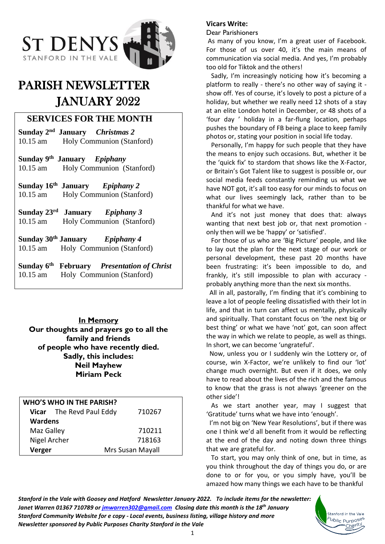

# PARISH NEWSLETTER JANUARY 2022

# **SERVICES FOR THE MONTH**

**Sunday 2 nd January** *Christmas 2* 10.15 am Holy Communion (Stanford)

**Sunday 9 th January** *Epiphany*  10.15 am Holy Communion (Stanford)

**Sunday 16th January** *Epiphany 2* 10.15 am Holy Communion (Stanford)

**Sunday 23rd** *Epiphany* 3 10.15 am Holy Communion (Stanford)

**Sunday 30th January** *Epiphany 4* 10.15 am Holy Communion (Stanford)

**Sunday 6 th February** *Presentation of Christ* 10.15 am Holy Communion (Stanford)

## **In Memory Our thoughts and prayers go to all the family and friends of people who have recently died. Sadly, this includes: Neil Mayhew Miriam Peck**

| <b>WHO'S WHO IN THE PARISH?</b> |                          |                  |
|---------------------------------|--------------------------|------------------|
|                                 | Vicar The Revd Paul Eddy | 710267           |
| <b>Wardens</b>                  |                          |                  |
| Maz Galley                      |                          | 710211           |
| Nigel Archer                    |                          | 718163           |
| Verger                          |                          | Mrs Susan Mayall |

#### **Vicars Write:**

#### Dear Parishioners

As many of you know, I'm a great user of Facebook. For those of us over 40, it's the main means of communication via social media. And yes, I'm probably too old for Tiktok and the others!

 Sadly, I'm increasingly noticing how it's becoming a platform to really - there's no other way of saying it show off. Yes of course, it's lovely to post a picture of a holiday, but whether we really need 12 shots of a stay at an elite London hotel in December, or 48 shots of a 'four day ' holiday in a far-flung location, perhaps pushes the boundary of FB being a place to keep family photos or, stating your position in social life today.

 Personally, I'm happy for such people that they have the means to enjoy such occasions. But, whether it be the 'quick fix' to stardom that shows like the X-Factor, or Britain's Got Talent like to suggest is possible or, our social media feeds constantly reminding us what we have NOT got, it's all too easy for our minds to focus on what our lives seemingly lack, rather than to be thankful for what we have.

 And it's not just money that does that: always wanting that next best job or, that next promotion only then will we be 'happy' or 'satisfied'.

 For those of us who are 'Big Picture' people, and like to lay out the plan for the next stage of our work or personal development, these past 20 months have been frustrating: it's been impossible to do, and frankly, it's still impossible to plan with accuracy probably anything more than the next six months.

 All in all, pastorally, I'm finding that it's combining to leave a lot of people feeling dissatisfied with their lot in life, and that in turn can affect us mentally, physically and spiritually. That constant focus on 'the next big or best thing' or what we have 'not' got, can soon affect the way in which we relate to people, as well as things. In short, we can become 'ungrateful'.

 Now, unless you or I suddenly win the Lottery or, of course, win X-Factor, we're unlikely to find our 'lot' change much overnight. But even if it does, we only have to read about the lives of the rich and the famous to know that the grass is not always 'greener on the other side'!

 As we start another year, may I suggest that 'Gratitude' turns what we have into 'enough'.

 I'm not big on 'New Year Resolutions', but if there was one I think we'd all benefit from it would be reflecting at the end of the day and noting down three things that we are grateful for.

 To start, you may only think of one, but in time, as you think throughout the day of things you do, or are done to or for you, or you simply have, you'll be amazed how many things we each have to be thankful

> Stanford in the Vale wblic Purpose<sup>s</sup> Charity

*Stanford in the Vale with Goosey and Hatford Newsletter January 2022. To include items for the newsletter: Janet Warren 01367 710789 or [jmwarren302@gmail.com](mailto:jmwarren302@gmail.com) Closing date this month is the 18th January Stanford Community Website for e copy - Local events, business listing, village history and more Newsletter sponsored by Public Purposes Charity Stanford in the Vale*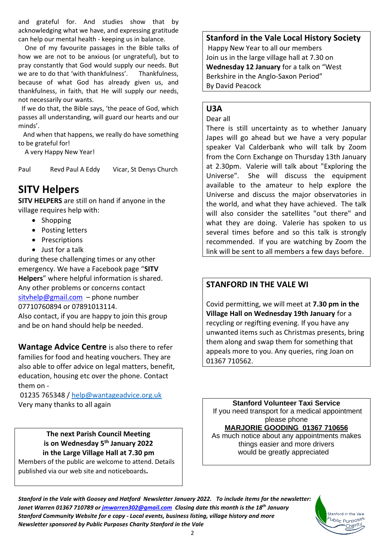and grateful for. And studies show that by acknowledging what we have, and expressing gratitude can help our mental health - keeping us in balance.

 One of my favourite passages in the Bible talks of how we are not to be anxious (or ungrateful), but to pray constantly that God would supply our needs. But we are to do that 'with thankfulness'. Thankfulness, because of what God has already given us, and thankfulness, in faith, that He will supply our needs, not necessarily our wants.

 If we do that, the Bible says, 'the peace of God, which passes all understanding, will guard our hearts and our minds'.

 And when that happens, we really do have something to be grateful for!

A very Happy New Year!

Paul Revd Paul A Eddy Vicar, St Denys Church

# **SITV Helpers**

**SITV HELPERS** are still on hand if anyone in the village requires help with:

- Shopping
- Posting letters
- Prescriptions
- Just for a talk

during these challenging times or any other emergency. We have a Facebook page "**SITV Helpers**" where helpful information is shared. Any other problems or concerns contact [sitvhelp@gmail.com](mailto:sitvhelp@gmail.com) – phone number 07710760894 or 07891013114. Also contact, if you are happy to join this group

and be on hand should help be needed.

**Wantage Advice Centre** is also there to refer families for food and heating vouchers. They are also able to offer advice on legal matters, benefit, education, housing etc over the phone. Contact them on -

01235 765348 [/ help@wantageadvice.org.uk](mailto:help@wantageadvice.org.uk) Very many thanks to all again

> **The next Parish Council Meeting is on Wednesday 5 th January 2022 in the Large Village Hall at 7.30 pm**

Members of the public are welcome to attend. Details published via our web site and noticeboards**.**

## **Stanford in the Vale Local History Society**

Happy New Year to all our members Join us in the large village hall at 7.30 on **Wednesday 12 January** for a talk on "West Berkshire in the Anglo-Saxon Period" By David Peacock

## **U3A**

#### Dear all

There is still uncertainty as to whether January Japes will go ahead but we have a very popular speaker Val Calderbank who will talk by Zoom from the Corn Exchange on Thursday 13th January at 2.30pm. Valerie will talk about "Exploring the Universe". She will discuss the equipment available to the amateur to help explore the Universe and discuss the major observatories in the world, and what they have achieved. The talk will also consider the satellites "out there" and what they are doing. Valerie has spoken to us several times before and so this talk is strongly recommended. If you are watching by Zoom the link will be sent to all members a few days before.

# **STANFORD IN THE VALE WI**

Covid permitting, we will meet at **7.30 pm in the Village Hall on Wednesday 19th January** for a recycling or regifting evening. If you have any unwanted items such as Christmas presents, bring them along and swap them for something that appeals more to you. Any queries, ring Joan on 01367 710562.

**Stanford Volunteer Taxi Service** If you need transport for a medical appointment please phone **MARJORIE GOODING 01367 710656** As much notice about any appointments makes

things easier and more drivers would be greatly appreciated

> Stanford in the Vale <sup>b</sup>ublic Purpo<sup>ses</sup>

*Stanford in the Vale with Goosey and Hatford Newsletter January 2022. To include items for the newsletter: Janet Warren 01367 710789 or [jmwarren302@gmail.com](mailto:jmwarren302@gmail.com) Closing date this month is the 18th January Stanford Community Website for e copy - Local events, business listing, village history and more Newsletter sponsored by Public Purposes Charity Stanford in the Vale*



 $\overline{\phantom{a}}$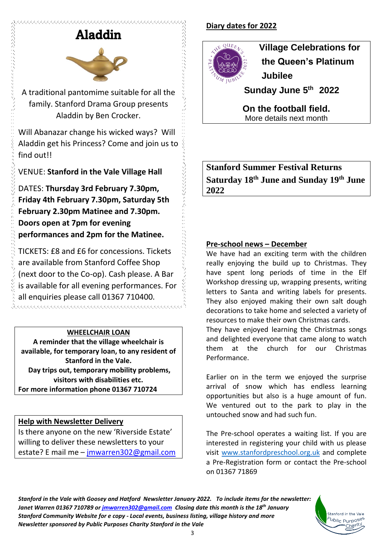# Aladdin

ひんかんかんかんかんかん



A traditional pantomime suitable for all the family. Stanford Drama Group presents Aladdin by Ben Crocker.

Will Abanazar change his wicked ways? Will Aladdin get his Princess? Come and join us to find out!!

VENUE: **Stanford in the Vale Village Hall** 

DATES: **Thursday 3rd February 7.30pm, Friday 4th February 7.30pm, Saturday 5th February 2.30pm Matinee and 7.30pm. Doors open at 7pm for evening performances and 2pm for the Matinee.**

TICKETS: £8 and £6 for concessions. Tickets are available from Stanford Coffee Shop (next door to the Co-op). Cash please. A Bar is available for all evening performances. For all enquiries please call 01367 710400. 

## **WHEELCHAIR LOAN**

**A reminder that the village wheelchair is available, for temporary loan, to any resident of Stanford in the Vale. Day trips out, temporary mobility problems, visitors with disabilities etc. For more information phone 01367 710724**

# **Help with Newsletter Delivery**

Is there anyone on the new 'Riverside Estate' willing to deliver these newsletters to your estate? E mail me - [jmwarren302@gmail.com](mailto:jmwarren302@gmail.com)

# **Diary dates for 2022**



 **Village Celebrations for the Queen's Platinum Jubilee** 

 **Sunday June 5 th 2022** 

**On the football field.** More details next month

**Stanford Summer Festival Returns Saturday 18 th June and Sunday 19 th June 2022**

## **Pre-school news – December**

We have had an exciting term with the children really enjoying the build up to Christmas. They have spent long periods of time in the Elf Workshop dressing up, wrapping presents, writing letters to Santa and writing labels for presents. They also enjoyed making their own salt dough decorations to take home and selected a variety of resources to make their own Christmas cards.

They have enjoyed learning the Christmas songs and delighted everyone that came along to watch them at the church for our Christmas Performance.

Earlier on in the term we enjoyed the surprise arrival of snow which has endless learning opportunities but also is a huge amount of fun. We ventured out to the park to play in the untouched snow and had such fun.

The Pre-school operates a waiting list. If you are interested in registering your child with us please visit [www.stanfordpreschool.org.uk](http://www.stanfordpreschool.org.uk/) and complete a Pre-Registration form or contact the Pre-school on 01367 71869

> Stanford in the Vale <sup>5</sup>ublic Purpo<sup>ses</sup>

*Stanford in the Vale with Goosey and Hatford Newsletter January 2022. To include items for the newsletter: Janet Warren 01367 710789 or [jmwarren302@gmail.com](mailto:jmwarren302@gmail.com) Closing date this month is the 18th January Stanford Community Website for e copy - Local events, business listing, village history and more Newsletter sponsored by Public Purposes Charity Stanford in the Vale*